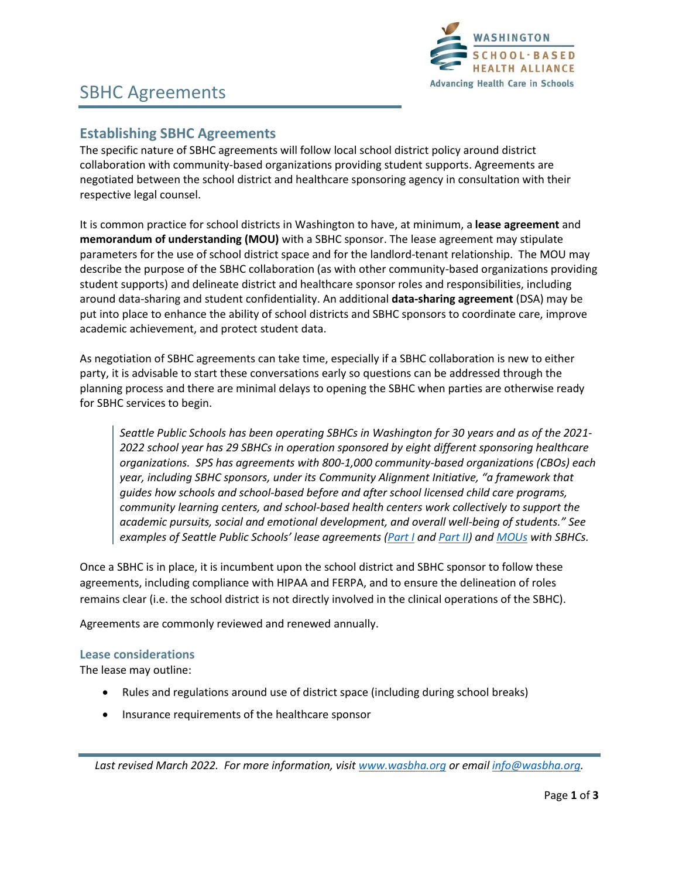

## SBHC Agreements

### **Establishing SBHC Agreements**

The specific nature of SBHC agreements will follow local school district policy around district collaboration with community-based organizations providing student supports. Agreements are negotiated between the school district and healthcare sponsoring agency in consultation with their respective legal counsel.

It is common practice for school districts in Washington to have, at minimum, a **lease agreement** and **memorandum of understanding (MOU)** with a SBHC sponsor. The lease agreement may stipulate parameters for the use of school district space and for the landlord-tenant relationship. The MOU may describe the purpose of the SBHC collaboration (as with other community-based organizations providing student supports) and delineate district and healthcare sponsor roles and responsibilities, including around data-sharing and student confidentiality. An additional **data-sharing agreement** (DSA) may be put into place to enhance the ability of school districts and SBHC sponsors to coordinate care, improve academic achievement, and protect student data.

As negotiation of SBHC agreements can take time, especially if a SBHC collaboration is new to either party, it is advisable to start these conversations early so questions can be addressed through the planning process and there are minimal delays to opening the SBHC when parties are otherwise ready for SBHC services to begin.

*Seattle Public Schools has been operating SBHCs in Washington for 30 years and as of the 2021- 2022 school year has 29 SBHCs in operation sponsored by eight different sponsoring healthcare organizations. SPS has agreements with 800-1,000 community-based organizations (CBOs) each year, including SBHC sponsors, under its Community Alignment Initiative, "a framework that guides how schools and school-based before and after school licensed child care programs, community learning centers, and school-based health centers work collectively to support the academic pursuits, social and emotional development, and overall well-being of students." See examples of Seattle Public Schools' lease agreements [\(Part I](https://wasbha.org/wp-content/uploads/2020/12/SBHC-Lease-Example-LSE-Part-I-SPS-2020-21.doc) an[d Part II\)](https://wasbha.org/wp-content/uploads/2020/12/SBHC-Lease-Example-LSE-Part-II-SPS-2020-21.doc) and [MOUs](https://wasbha.org/wp-content/uploads/2020/12/SBHC-MOU-Example-SPS-2020-21.docx) with SBHCs.* 

Once a SBHC is in place, it is incumbent upon the school district and SBHC sponsor to follow these agreements, including compliance with HIPAA and FERPA, and to ensure the delineation of roles remains clear (i.e. the school district is not directly involved in the clinical operations of the SBHC).

Agreements are commonly reviewed and renewed annually.

### **Lease considerations**

The lease may outline:

- Rules and regulations around use of district space (including during school breaks)
- Insurance requirements of the healthcare sponsor

*Last revised March 2022. For more information, visit [www.wasbha.org](http://www.wasbha.org/) or email [info@wasbha.org.](mailto:info@wasbha.org)*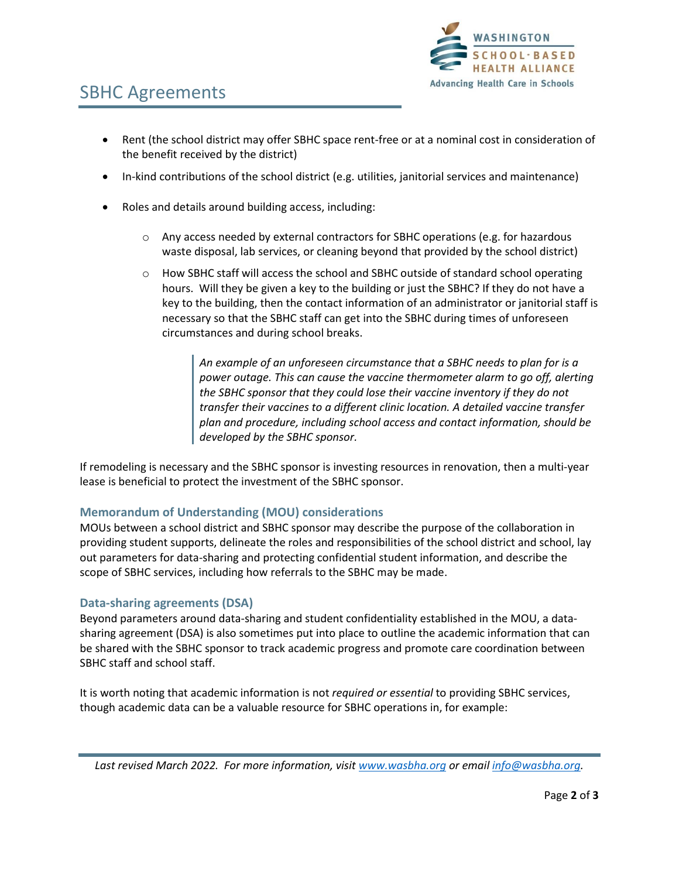

# SBHC Agreements

- Rent (the school district may offer SBHC space rent-free or at a nominal cost in consideration of the benefit received by the district)
- In-kind contributions of the school district (e.g. utilities, janitorial services and maintenance)
- Roles and details around building access, including:
	- $\circ$  Any access needed by external contractors for SBHC operations (e.g. for hazardous waste disposal, lab services, or cleaning beyond that provided by the school district)
	- o How SBHC staff will access the school and SBHC outside of standard school operating hours. Will they be given a key to the building or just the SBHC? If they do not have a key to the building, then the contact information of an administrator or janitorial staff is necessary so that the SBHC staff can get into the SBHC during times of unforeseen circumstances and during school breaks.

*An example of an unforeseen circumstance that a SBHC needs to plan for is a power outage. This can cause the vaccine thermometer alarm to go off, alerting the SBHC sponsor that they could lose their vaccine inventory if they do not transfer their vaccines to a different clinic location. A detailed vaccine transfer plan and procedure, including school access and contact information, should be developed by the SBHC sponsor.* 

If remodeling is necessary and the SBHC sponsor is investing resources in renovation, then a multi-year lease is beneficial to protect the investment of the SBHC sponsor.

### **Memorandum of Understanding (MOU) considerations**

MOUs between a school district and SBHC sponsor may describe the purpose of the collaboration in providing student supports, delineate the roles and responsibilities of the school district and school, lay out parameters for data-sharing and protecting confidential student information, and describe the scope of SBHC services, including how referrals to the SBHC may be made.

### **Data-sharing agreements (DSA)**

Beyond parameters around data-sharing and student confidentiality established in the MOU, a datasharing agreement (DSA) is also sometimes put into place to outline the academic information that can be shared with the SBHC sponsor to track academic progress and promote care coordination between SBHC staff and school staff.

It is worth noting that academic information is not *required or essential* to providing SBHC services, though academic data can be a valuable resource for SBHC operations in, for example:

*Last revised March 2022. For more information, visit [www.wasbha.org](http://www.wasbha.org/) or email [info@wasbha.org.](mailto:info@wasbha.org)*